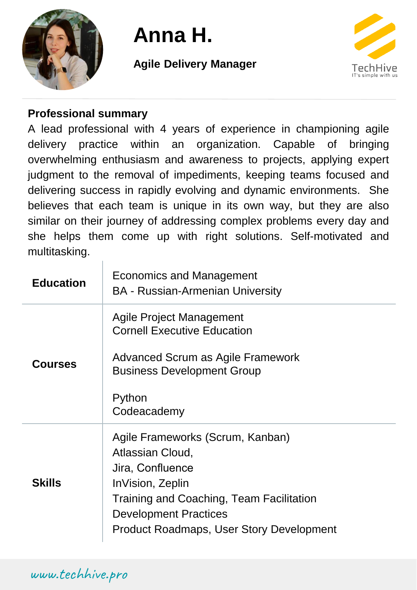

# **Anna H.**

## **Agile Delivery Manager**



### **Professional summary**

A lead professional with 4 years of experience in championing agile delivery practice within an organization. Capable of bringing overwhelming enthusiasm and awareness to projects, applying expert judgment to the removal of impediments, keeping teams focused and delivering success in rapidly evolving and dynamic environments. She believes that each team is unique in its own way, but they are also similar on their journey of addressing complex problems every day and she helps them come up with right solutions. Self-motivated and multitasking.

| <b>Education</b> | Economics and Management<br><b>BA - Russian-Armenian University</b>                                                                                                                                                         |
|------------------|-----------------------------------------------------------------------------------------------------------------------------------------------------------------------------------------------------------------------------|
| <b>Courses</b>   | Agile Project Management<br><b>Cornell Executive Education</b><br>Advanced Scrum as Agile Framework<br><b>Business Development Group</b><br>Python<br>Codeacademy                                                           |
| <b>Skills</b>    | Agile Frameworks (Scrum, Kanban)<br>Atlassian Cloud,<br>Jira, Confluence<br>InVision, Zeplin<br>Training and Coaching, Team Facilitation<br><b>Development Practices</b><br><b>Product Roadmaps, User Story Development</b> |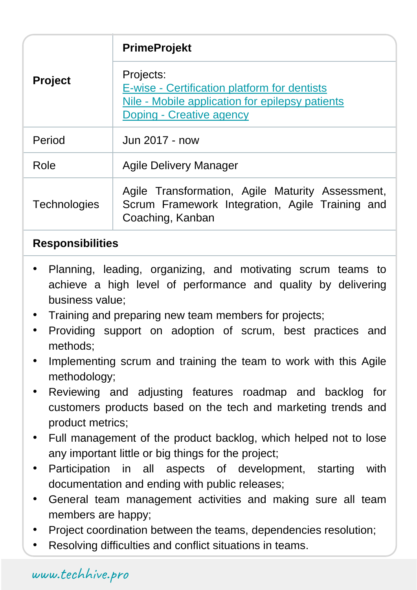| <b>Project</b>      | <b>PrimeProjekt</b>                                                                                                                      |
|---------------------|------------------------------------------------------------------------------------------------------------------------------------------|
|                     | Projects:<br>E-wise - Certification platform for dentists<br>Nile - Mobile application for epilepsy patients<br>Doping - Creative agency |
| Period              | Jun 2017 - now                                                                                                                           |
| Role                | Agile Delivery Manager                                                                                                                   |
| <b>Technologies</b> | Agile Transformation, Agile Maturity Assessment,<br>Scrum Framework Integration, Agile Training and<br>Coaching, Kanban                  |

- Planning, leading, organizing, and motivating scrum teams to achieve a high level of performance and quality by delivering business value;
- Training and preparing new team members for projects;
- Providing support on adoption of scrum, best practices and methods;
- Implementing scrum and training the team to work with this Agile methodology;
- Reviewing and adjusting features roadmap and backlog for customers products based on the tech and marketing trends and product metrics;
- Full management of the product backlog, which helped not to lose any important little or big things for the project;
- Participation in all aspects of development, starting with documentation and ending with public releases;
- General team management activities and making sure all team members are happy;
- Project coordination between the teams, dependencies resolution;
- Resolving difficulties and conflict situations in teams.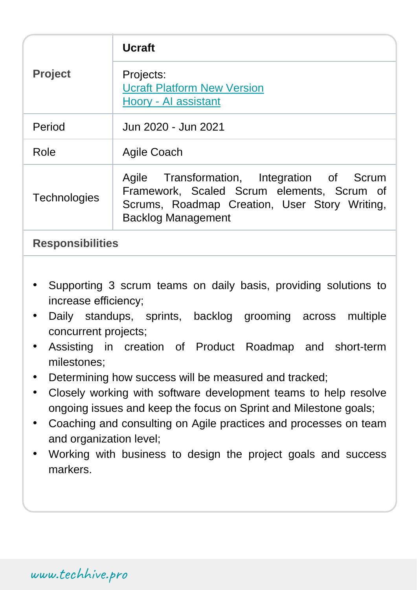| <b>Project</b>          | <b>Ucraft</b>                                                                                                                                                          |
|-------------------------|------------------------------------------------------------------------------------------------------------------------------------------------------------------------|
|                         | Projects:<br><b>Ucraft Platform New Version</b><br>Hoory - Al assistant                                                                                                |
| Period                  | Jun 2020 - Jun 2021                                                                                                                                                    |
| Role                    | Agile Coach                                                                                                                                                            |
| <b>Technologies</b>     | Agile Transformation, Integration of Scrum<br>Framework, Scaled Scrum elements, Scrum of<br>Scrums, Roadmap Creation, User Story Writing,<br><b>Backlog Management</b> |
| <b>Responsibilities</b> |                                                                                                                                                                        |

- Supporting 3 scrum teams on daily basis, providing solutions to increase efficiency;
- Daily standups, sprints, backlog grooming across multiple concurrent projects;
- Assisting in creation of Product Roadmap and short-term milestones;
- Determining how success will be measured and tracked;
- Closely working with software development teams to help resolve ongoing issues and keep the focus on Sprint and Milestone goals;
- Coaching and consulting on Agile practices and processes on team and organization level;
- Working with business to design the project goals and success markers.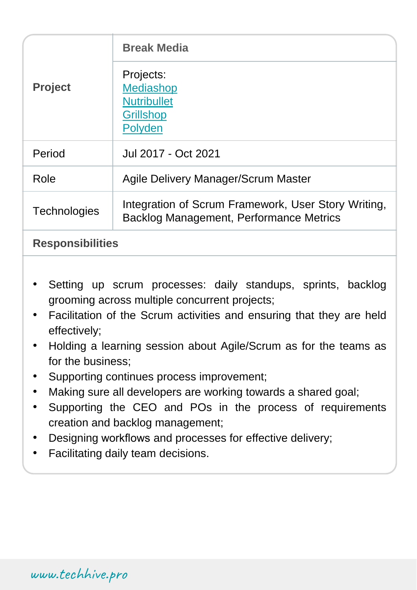| <b>Project</b>          | <b>Break Media</b>                                                                             |
|-------------------------|------------------------------------------------------------------------------------------------|
|                         | Projects:<br><b>Mediashop</b><br><b>Nutribullet</b><br><b>Grillshop</b><br>Polyden             |
| Period                  | Jul 2017 - Oct 2021                                                                            |
| Role                    | Agile Delivery Manager/Scrum Master                                                            |
| <b>Technologies</b>     | Integration of Scrum Framework, User Story Writing,<br>Backlog Management, Performance Metrics |
| <b>Responsibilities</b> |                                                                                                |

- Setting up scrum processes: daily standups, sprints, backlog grooming across multiple concurrent projects;
- Facilitation of the Scrum activities and ensuring that they are held effectively;
- Holding a learning session about Agile/Scrum as for the teams as for the business;
- Supporting continues process improvement;
- Making sure all developers are working towards a shared goal;
- Supporting the CEO and POs in the process of requirements creation and backlog management;
- Designing workflows and processes for effective delivery;
- Facilitating daily team decisions.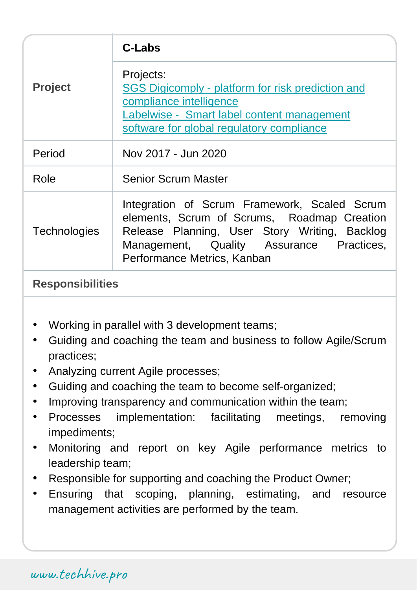| <b>Project</b>      | C-Labs                                                                                                                                                                                                                  |
|---------------------|-------------------------------------------------------------------------------------------------------------------------------------------------------------------------------------------------------------------------|
|                     | Projects:<br>SGS Digicomply - platform for risk prediction and<br>compliance intelligence<br>Labelwise - Smart label content management<br>software for global regulatory compliance                                    |
| Period              | Nov 2017 - Jun 2020                                                                                                                                                                                                     |
| Role                | <b>Senior Scrum Master</b>                                                                                                                                                                                              |
| <b>Technologies</b> | Integration of Scrum Framework, Scaled Scrum<br>elements, Scrum of Scrums, Roadmap Creation<br>Release Planning, User Story Writing, Backlog<br>Management, Quality Assurance Practices,<br>Performance Metrics, Kanban |

- Working in parallel with 3 development teams;
- Guiding and coaching the team and business to follow Agile/Scrum practices;
- Analyzing current Agile processes;
- Guiding and coaching the team to become self-organized;
- Improving transparency and communication within the team;
- Processes implementation: facilitating meetings, removing impediments;
- Monitoring and report on key Agile performance metrics to leadership team;
- Responsible for supporting and coaching the Product Owner;
- Ensuring that scoping, planning, estimating, and resource management activities are performed by the team.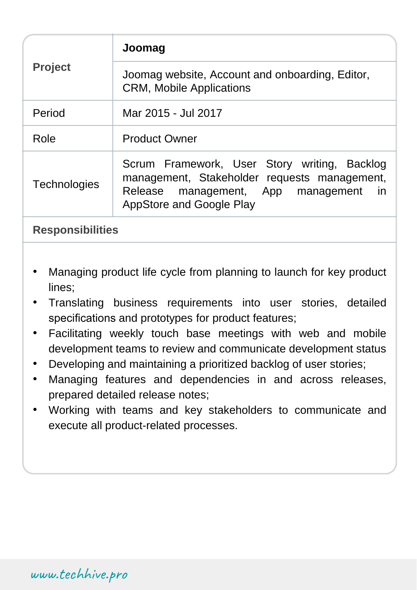| <b>Project</b>      | Joomag                                                                                                                                                                       |
|---------------------|------------------------------------------------------------------------------------------------------------------------------------------------------------------------------|
|                     | Joomag website, Account and onboarding, Editor,<br><b>CRM, Mobile Applications</b>                                                                                           |
| Period              | Mar 2015 - Jul 2017                                                                                                                                                          |
| Role                | <b>Product Owner</b>                                                                                                                                                         |
| <b>Technologies</b> | Scrum Framework, User Story writing, Backlog<br>management, Stakeholder requests management,<br>Release management, App management<br>-in<br><b>AppStore and Google Play</b> |

- Managing product life cycle from planning to launch for key product lines;
- Translating business requirements into user stories, detailed specifications and prototypes for product features;
- Facilitating weekly touch base meetings with web and mobile development teams to review and communicate development status
- Developing and maintaining a prioritized backlog of user stories;
- Managing features and dependencies in and across releases, prepared detailed release notes;
- Working with teams and key stakeholders to communicate and execute all product-related processes.